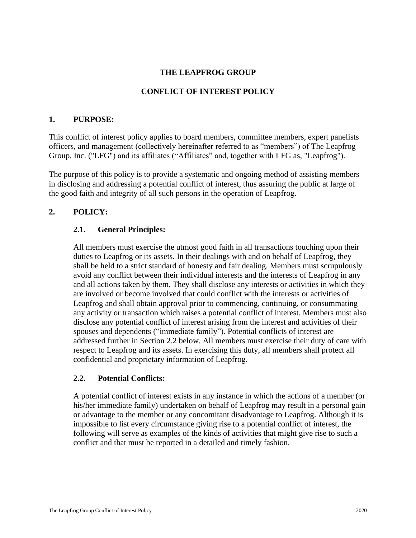## **THE LEAPFROG GROUP**

### **CONFLICT OF INTEREST POLICY**

#### **1. PURPOSE:**

This conflict of interest policy applies to board members, committee members, expert panelists officers, and management (collectively hereinafter referred to as "members") of The Leapfrog Group, Inc. ("LFG") and its affiliates ("Affiliates" and, together with LFG as, "Leapfrog").

The purpose of this policy is to provide a systematic and ongoing method of assisting members in disclosing and addressing a potential conflict of interest, thus assuring the public at large of the good faith and integrity of all such persons in the operation of Leapfrog.

#### **2. POLICY:**

#### **2.1. General Principles:**

All members must exercise the utmost good faith in all transactions touching upon their duties to Leapfrog or its assets. In their dealings with and on behalf of Leapfrog, they shall be held to a strict standard of honesty and fair dealing. Members must scrupulously avoid any conflict between their individual interests and the interests of Leapfrog in any and all actions taken by them. They shall disclose any interests or activities in which they are involved or become involved that could conflict with the interests or activities of Leapfrog and shall obtain approval prior to commencing, continuing, or consummating any activity or transaction which raises a potential conflict of interest. Members must also disclose any potential conflict of interest arising from the interest and activities of their spouses and dependents ("immediate family"). Potential conflicts of interest are addressed further in Section 2.2 below. All members must exercise their duty of care with respect to Leapfrog and its assets. In exercising this duty, all members shall protect all confidential and proprietary information of Leapfrog.

#### **2.2. Potential Conflicts:**

A potential conflict of interest exists in any instance in which the actions of a member (or his/her immediate family) undertaken on behalf of Leapfrog may result in a personal gain or advantage to the member or any concomitant disadvantage to Leapfrog. Although it is impossible to list every circumstance giving rise to a potential conflict of interest, the following will serve as examples of the kinds of activities that might give rise to such a conflict and that must be reported in a detailed and timely fashion.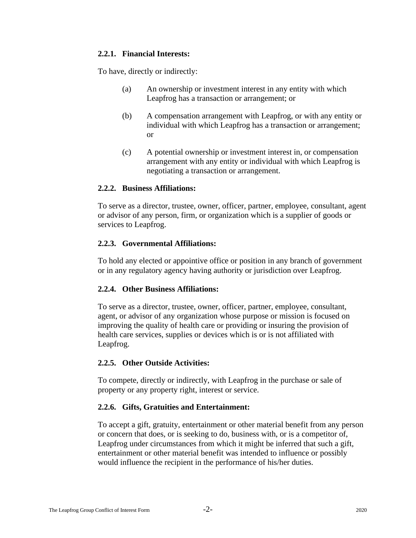#### **2.2.1. Financial Interests:**

To have, directly or indirectly:

- (a) An ownership or investment interest in any entity with which Leapfrog has a transaction or arrangement; or
- (b) A compensation arrangement with Leapfrog, or with any entity or individual with which Leapfrog has a transaction or arrangement; or
- (c) A potential ownership or investment interest in, or compensation arrangement with any entity or individual with which Leapfrog is negotiating a transaction or arrangement.

#### **2.2.2. Business Affiliations:**

To serve as a director, trustee, owner, officer, partner, employee, consultant, agent or advisor of any person, firm, or organization which is a supplier of goods or services to Leapfrog.

## **2.2.3. Governmental Affiliations:**

To hold any elected or appointive office or position in any branch of government or in any regulatory agency having authority or jurisdiction over Leapfrog.

## **2.2.4. Other Business Affiliations:**

To serve as a director, trustee, owner, officer, partner, employee, consultant, agent, or advisor of any organization whose purpose or mission is focused on improving the quality of health care or providing or insuring the provision of health care services, supplies or devices which is or is not affiliated with Leapfrog.

## **2.2.5. Other Outside Activities:**

To compete, directly or indirectly, with Leapfrog in the purchase or sale of property or any property right, interest or service.

## **2.2.6. Gifts, Gratuities and Entertainment:**

To accept a gift, gratuity, entertainment or other material benefit from any person or concern that does, or is seeking to do, business with, or is a competitor of, Leapfrog under circumstances from which it might be inferred that such a gift, entertainment or other material benefit was intended to influence or possibly would influence the recipient in the performance of his/her duties.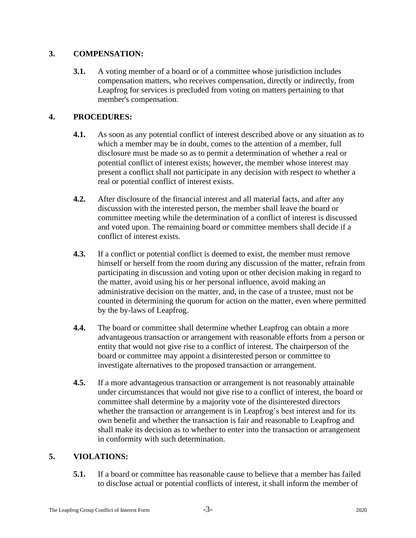## **3. COMPENSATION:**

**3.1.** A voting member of a board or of a committee whose jurisdiction includes compensation matters, who receives compensation, directly or indirectly, from Leapfrog for services is precluded from voting on matters pertaining to that member's compensation.

# **4. PROCEDURES:**

- **4.1.** As soon as any potential conflict of interest described above or any situation as to which a member may be in doubt, comes to the attention of a member, full disclosure must be made so as to permit a determination of whether a real or potential conflict of interest exists; however, the member whose interest may present a conflict shall not participate in any decision with respect to whether a real or potential conflict of interest exists.
- **4.2.** After disclosure of the financial interest and all material facts, and after any discussion with the interested person, the member shall leave the board or committee meeting while the determination of a conflict of interest is discussed and voted upon. The remaining board or committee members shall decide if a conflict of interest exists.
- **4.3.** If a conflict or potential conflict is deemed to exist, the member must remove himself or herself from the room during any discussion of the matter, refrain from participating in discussion and voting upon or other decision making in regard to the matter, avoid using his or her personal influence, avoid making an administrative decision on the matter, and, in the case of a trustee, must not be counted in determining the quorum for action on the matter, even where permitted by the by-laws of Leapfrog.
- **4.4.** The board or committee shall determine whether Leapfrog can obtain a more advantageous transaction or arrangement with reasonable efforts from a person or entity that would not give rise to a conflict of interest. The chairperson of the board or committee may appoint a disinterested person or committee to investigate alternatives to the proposed transaction or arrangement.
- **4.5.** If a more advantageous transaction or arrangement is not reasonably attainable under circumstances that would not give rise to a conflict of interest, the board or committee shall determine by a majority vote of the disinterested directors whether the transaction or arrangement is in Leapfrog's best interest and for its own benefit and whether the transaction is fair and reasonable to Leapfrog and shall make its decision as to whether to enter into the transaction or arrangement in conformity with such determination.

# **5. VIOLATIONS:**

**5.1.** If a board or committee has reasonable cause to believe that a member has failed to disclose actual or potential conflicts of interest, it shall inform the member of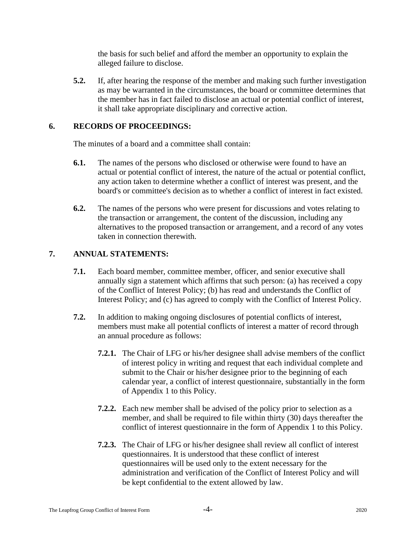the basis for such belief and afford the member an opportunity to explain the alleged failure to disclose.

**5.2.** If, after hearing the response of the member and making such further investigation as may be warranted in the circumstances, the board or committee determines that the member has in fact failed to disclose an actual or potential conflict of interest, it shall take appropriate disciplinary and corrective action.

#### **6. RECORDS OF PROCEEDINGS:**

The minutes of a board and a committee shall contain:

- **6.1.** The names of the persons who disclosed or otherwise were found to have an actual or potential conflict of interest, the nature of the actual or potential conflict, any action taken to determine whether a conflict of interest was present, and the board's or committee's decision as to whether a conflict of interest in fact existed.
- **6.2.** The names of the persons who were present for discussions and votes relating to the transaction or arrangement, the content of the discussion, including any alternatives to the proposed transaction or arrangement, and a record of any votes taken in connection therewith.

## **7. ANNUAL STATEMENTS:**

- **7.1.** Each board member, committee member, officer, and senior executive shall annually sign a statement which affirms that such person: (a) has received a copy of the Conflict of Interest Policy; (b) has read and understands the Conflict of Interest Policy; and (c) has agreed to comply with the Conflict of Interest Policy.
- **7.2.** In addition to making ongoing disclosures of potential conflicts of interest, members must make all potential conflicts of interest a matter of record through an annual procedure as follows:
	- **7.2.1.** The Chair of LFG or his/her designee shall advise members of the conflict of interest policy in writing and request that each individual complete and submit to the Chair or his/her designee prior to the beginning of each calendar year, a conflict of interest questionnaire, substantially in the form of Appendix 1 to this Policy.
	- **7.2.2.** Each new member shall be advised of the policy prior to selection as a member, and shall be required to file within thirty (30) days thereafter the conflict of interest questionnaire in the form of Appendix 1 to this Policy.
	- **7.2.3.** The Chair of LFG or his/her designee shall review all conflict of interest questionnaires. It is understood that these conflict of interest questionnaires will be used only to the extent necessary for the administration and verification of the Conflict of Interest Policy and will be kept confidential to the extent allowed by law.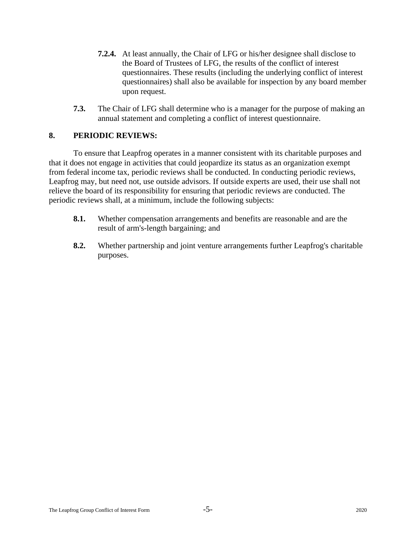- **7.2.4.** At least annually, the Chair of LFG or his/her designee shall disclose to the Board of Trustees of LFG, the results of the conflict of interest questionnaires. These results (including the underlying conflict of interest questionnaires) shall also be available for inspection by any board member upon request.
- **7.3.** The Chair of LFG shall determine who is a manager for the purpose of making an annual statement and completing a conflict of interest questionnaire.

#### **8. PERIODIC REVIEWS:**

To ensure that Leapfrog operates in a manner consistent with its charitable purposes and that it does not engage in activities that could jeopardize its status as an organization exempt from federal income tax, periodic reviews shall be conducted. In conducting periodic reviews, Leapfrog may, but need not, use outside advisors. If outside experts are used, their use shall not relieve the board of its responsibility for ensuring that periodic reviews are conducted. The periodic reviews shall, at a minimum, include the following subjects:

- **8.1.** Whether compensation arrangements and benefits are reasonable and are the result of arm's-length bargaining; and
- **8.2.** Whether partnership and joint venture arrangements further Leapfrog's charitable purposes.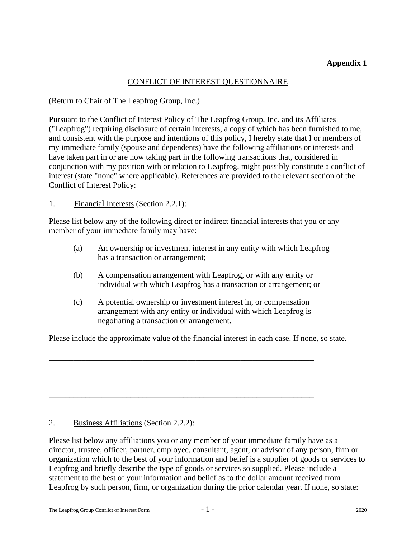# **Appendix 1**

## CONFLICT OF INTEREST QUESTIONNAIRE

(Return to Chair of The Leapfrog Group, Inc.)

Pursuant to the Conflict of Interest Policy of The Leapfrog Group, Inc. and its Affiliates ("Leapfrog") requiring disclosure of certain interests, a copy of which has been furnished to me, and consistent with the purpose and intentions of this policy, I hereby state that I or members of my immediate family (spouse and dependents) have the following affiliations or interests and have taken part in or are now taking part in the following transactions that, considered in conjunction with my position with or relation to Leapfrog, might possibly constitute a conflict of interest (state "none" where applicable). References are provided to the relevant section of the Conflict of Interest Policy:

1. Financial Interests (Section 2.2.1):

Please list below any of the following direct or indirect financial interests that you or any member of your immediate family may have:

- (a) An ownership or investment interest in any entity with which Leapfrog has a transaction or arrangement;
- (b) A compensation arrangement with Leapfrog, or with any entity or individual with which Leapfrog has a transaction or arrangement; or
- (c) A potential ownership or investment interest in, or compensation arrangement with any entity or individual with which Leapfrog is negotiating a transaction or arrangement.

Please include the approximate value of the financial interest in each case. If none, so state.

\_\_\_\_\_\_\_\_\_\_\_\_\_\_\_\_\_\_\_\_\_\_\_\_\_\_\_\_\_\_\_\_\_\_\_\_\_\_\_\_\_\_\_\_\_\_\_\_\_\_\_\_\_\_\_\_\_\_\_\_\_\_\_\_\_

\_\_\_\_\_\_\_\_\_\_\_\_\_\_\_\_\_\_\_\_\_\_\_\_\_\_\_\_\_\_\_\_\_\_\_\_\_\_\_\_\_\_\_\_\_\_\_\_\_\_\_\_\_\_\_\_\_\_\_\_\_\_\_\_\_

\_\_\_\_\_\_\_\_\_\_\_\_\_\_\_\_\_\_\_\_\_\_\_\_\_\_\_\_\_\_\_\_\_\_\_\_\_\_\_\_\_\_\_\_\_\_\_\_\_\_\_\_\_\_\_\_\_\_\_\_\_\_\_\_\_

## 2. Business Affiliations (Section 2.2.2):

Please list below any affiliations you or any member of your immediate family have as a director, trustee, officer, partner, employee, consultant, agent, or advisor of any person, firm or organization which to the best of your information and belief is a supplier of goods or services to Leapfrog and briefly describe the type of goods or services so supplied. Please include a statement to the best of your information and belief as to the dollar amount received from Leapfrog by such person, firm, or organization during the prior calendar year. If none, so state: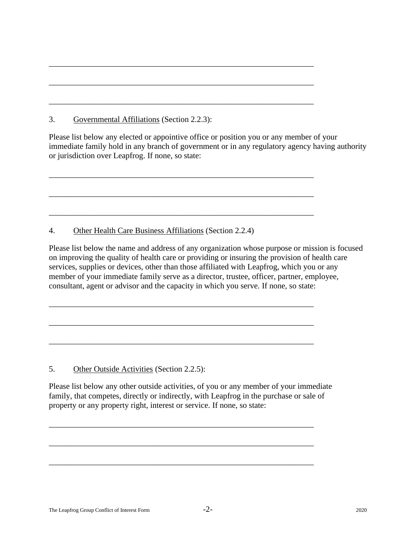3. Governmental Affiliations (Section 2.2.3):

Please list below any elected or appointive office or position you or any member of your immediate family hold in any branch of government or in any regulatory agency having authority or jurisdiction over Leapfrog. If none, so state:

\_\_\_\_\_\_\_\_\_\_\_\_\_\_\_\_\_\_\_\_\_\_\_\_\_\_\_\_\_\_\_\_\_\_\_\_\_\_\_\_\_\_\_\_\_\_\_\_\_\_\_\_\_\_\_\_\_\_\_\_\_\_\_\_\_

\_\_\_\_\_\_\_\_\_\_\_\_\_\_\_\_\_\_\_\_\_\_\_\_\_\_\_\_\_\_\_\_\_\_\_\_\_\_\_\_\_\_\_\_\_\_\_\_\_\_\_\_\_\_\_\_\_\_\_\_\_\_\_\_\_

\_\_\_\_\_\_\_\_\_\_\_\_\_\_\_\_\_\_\_\_\_\_\_\_\_\_\_\_\_\_\_\_\_\_\_\_\_\_\_\_\_\_\_\_\_\_\_\_\_\_\_\_\_\_\_\_\_\_\_\_\_\_\_\_\_

\_\_\_\_\_\_\_\_\_\_\_\_\_\_\_\_\_\_\_\_\_\_\_\_\_\_\_\_\_\_\_\_\_\_\_\_\_\_\_\_\_\_\_\_\_\_\_\_\_\_\_\_\_\_\_\_\_\_\_\_\_\_\_\_\_

\_\_\_\_\_\_\_\_\_\_\_\_\_\_\_\_\_\_\_\_\_\_\_\_\_\_\_\_\_\_\_\_\_\_\_\_\_\_\_\_\_\_\_\_\_\_\_\_\_\_\_\_\_\_\_\_\_\_\_\_\_\_\_\_\_

\_\_\_\_\_\_\_\_\_\_\_\_\_\_\_\_\_\_\_\_\_\_\_\_\_\_\_\_\_\_\_\_\_\_\_\_\_\_\_\_\_\_\_\_\_\_\_\_\_\_\_\_\_\_\_\_\_\_\_\_\_\_\_\_\_

\_\_\_\_\_\_\_\_\_\_\_\_\_\_\_\_\_\_\_\_\_\_\_\_\_\_\_\_\_\_\_\_\_\_\_\_\_\_\_\_\_\_\_\_\_\_\_\_\_\_\_\_\_\_\_\_\_\_\_\_\_\_\_\_\_

\_\_\_\_\_\_\_\_\_\_\_\_\_\_\_\_\_\_\_\_\_\_\_\_\_\_\_\_\_\_\_\_\_\_\_\_\_\_\_\_\_\_\_\_\_\_\_\_\_\_\_\_\_\_\_\_\_\_\_\_\_\_\_\_\_

\_\_\_\_\_\_\_\_\_\_\_\_\_\_\_\_\_\_\_\_\_\_\_\_\_\_\_\_\_\_\_\_\_\_\_\_\_\_\_\_\_\_\_\_\_\_\_\_\_\_\_\_\_\_\_\_\_\_\_\_\_\_\_\_\_

4. Other Health Care Business Affiliations (Section 2.2.4)

Please list below the name and address of any organization whose purpose or mission is focused on improving the quality of health care or providing or insuring the provision of health care services, supplies or devices, other than those affiliated with Leapfrog, which you or any member of your immediate family serve as a director, trustee, officer, partner, employee, consultant, agent or advisor and the capacity in which you serve. If none, so state:

5. Other Outside Activities (Section 2.2.5):

Please list below any other outside activities, of you or any member of your immediate family, that competes, directly or indirectly, with Leapfrog in the purchase or sale of property or any property right, interest or service. If none, so state:

\_\_\_\_\_\_\_\_\_\_\_\_\_\_\_\_\_\_\_\_\_\_\_\_\_\_\_\_\_\_\_\_\_\_\_\_\_\_\_\_\_\_\_\_\_\_\_\_\_\_\_\_\_\_\_\_\_\_\_\_\_\_\_\_\_

\_\_\_\_\_\_\_\_\_\_\_\_\_\_\_\_\_\_\_\_\_\_\_\_\_\_\_\_\_\_\_\_\_\_\_\_\_\_\_\_\_\_\_\_\_\_\_\_\_\_\_\_\_\_\_\_\_\_\_\_\_\_\_\_\_

\_\_\_\_\_\_\_\_\_\_\_\_\_\_\_\_\_\_\_\_\_\_\_\_\_\_\_\_\_\_\_\_\_\_\_\_\_\_\_\_\_\_\_\_\_\_\_\_\_\_\_\_\_\_\_\_\_\_\_\_\_\_\_\_\_